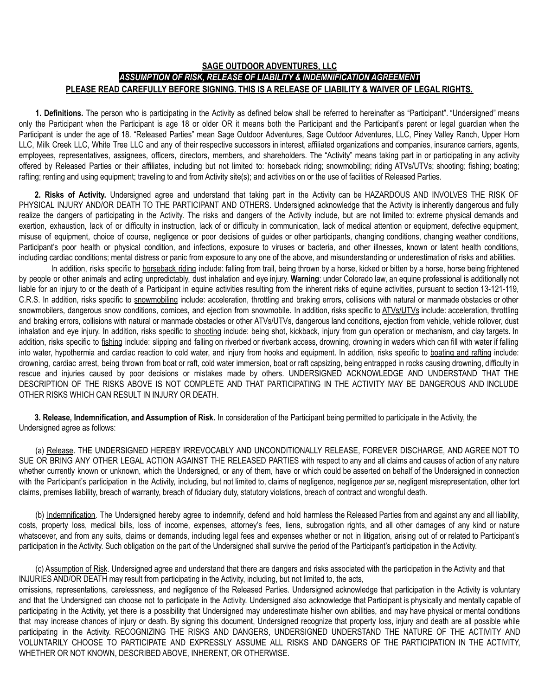## **SAGE OUTDOOR ADVENTURES, LLC** *ASSUMPTION OF RISK, RELEASE OF LIABILITY & INDEMNIFICATION AGREEMENT* **PLEASE READ CAREFULLY BEFORE SIGNING. THIS IS A RELEASE OF LIABILITY & WAIVER OF LEGAL RIGHTS.**

**1. Definitions.** The person who is participating in the Activity as defined below shall be referred to hereinafter as "Participant". "Undersigned" means only the Participant when the Participant is age 18 or older OR it means both the Participant and the Participant's parent or legal guardian when the Participant is under the age of 18. "Released Parties" mean Sage Outdoor Adventures, Sage Outdoor Adventures, LLC, Piney Valley Ranch, Upper Horn LLC, Milk Creek LLC, White Tree LLC and any of their respective successors in interest, affiliated organizations and companies, insurance carriers, agents, employees, representatives, assignees, officers, directors, members, and shareholders. The "Activity" means taking part in or participating in any activity offered by Released Parties or their affiliates, including but not limited to: horseback riding; snowmobiling; riding ATVs/UTVs; shooting; fishing; boating; rafting; renting and using equipment; traveling to and from Activity site(s); and activities on or the use of facilities of Released Parties.

**2. Risks of Activity.** Undersigned agree and understand that taking part in the Activity can be HAZARDOUS AND INVOLVES THE RISK OF PHYSICAL INJURY AND/OR DEATH TO THE PARTICIPANT AND OTHERS. Undersigned acknowledge that the Activity is inherently dangerous and fully realize the dangers of participating in the Activity. The risks and dangers of the Activity include, but are not limited to: extreme physical demands and exertion, exhaustion, lack of or difficulty in instruction, lack of or difficulty in communication, lack of medical attention or equipment, defective equipment, misuse of equipment, choice of course, negligence or poor decisions of guides or other participants, changing conditions, changing weather conditions, Participant's poor health or physical condition, and infections, exposure to viruses or bacteria, and other illnesses, known or latent health conditions, including cardiac conditions; mental distress or panic from exposure to any one of the above, and misunderstanding or underestimation of risks and abilities.

In addition, risks specific to horseback riding include: falling from trail, being thrown by a horse, kicked or bitten by a horse, horse being frightened by people or other animals and acting unpredictably, dust inhalation and eye injury. **Warning**: under Colorado law, an equine professional is additionally not liable for an injury to or the death of a Participant in equine activities resulting from the inherent risks of equine activities, pursuant to section 13-121-119, C.R.S. In addition, risks specific to snowmobiling include: acceleration, throttling and braking errors, collisions with natural or manmade obstacles or other snowmobilers, dangerous snow conditions, cornices, and ejection from snowmobile. In addition, risks specific to ATVs/UTVs include: acceleration, throttling and braking errors, collisions with natural or manmade obstacles or other ATVs/UTVs, dangerous land conditions, ejection from vehicle, vehicle rollover, dust inhalation and eye injury. In addition, risks specific to shooting include: being shot, kickback, injury from gun operation or mechanism, and clay targets. In addition, risks specific to fishing include: slipping and falling on riverbed or riverbank access, drowning, drowning in waders which can fill with water if falling into water, hypothermia and cardiac reaction to cold water, and injury from hooks and equipment. In addition, risks specific to boating and rafting include: drowning, cardiac arrest, being thrown from boat or raft, cold water immersion, boat or raft capsizing, being entrapped in rocks causing drowning, difficulty in rescue and injuries caused by poor decisions or mistakes made by others. UNDERSIGNED ACKNOWLEDGE AND UNDERSTAND THAT THE DESCRIPTION OF THE RISKS ABOVE IS NOT COMPLETE AND THAT PARTICIPATING IN THE ACTIVITY MAY BE DANGEROUS AND INCLUDE OTHER RISKS WHICH CAN RESULT IN INJURY OR DEATH.

**3. Release, Indemnification, and Assumption of Risk.** In consideration of the Participant being permitted to participate in the Activity, the Undersigned agree as follows:

(a) Release. THE UNDERSIGNED HEREBY IRREVOCABLY AND UNCONDITIONALLY RELEASE, FOREVER DISCHARGE, AND AGREE NOT TO SUE OR BRING ANY OTHER LEGAL ACTION AGAINST THE RELEASED PARTIES with respect to any and all claims and causes of action of any nature whether currently known or unknown, which the Undersigned, or any of them, have or which could be asserted on behalf of the Undersigned in connection with the Participant's participation in the Activity, including, but not limited to, claims of negligence, negligence *per se*, negligent misrepresentation, other tort claims, premises liability, breach of warranty, breach of fiduciary duty, statutory violations, breach of contract and wrongful death.

(b) Indemnification. The Undersigned hereby agree to indemnify, defend and hold harmless the Released Parties from and against any and all liability, costs, property loss, medical bills, loss of income, expenses, attorney's fees, liens, subrogation rights, and all other damages of any kind or nature whatsoever, and from any suits, claims or demands, including legal fees and expenses whether or not in litigation, arising out of or related to Participant's participation in the Activity. Such obligation on the part of the Undersigned shall survive the period of the Participant's participation in the Activity.

(c) Assumption of Risk. Undersigned agree and understand that there are dangers and risks associated with the participation in the Activity and that INJURIES AND/OR DEATH may result from participating in the Activity, including, but not limited to, the acts,

omissions, representations, carelessness, and negligence of the Released Parties. Undersigned acknowledge that participation in the Activity is voluntary and that the Undersigned can choose not to participate in the Activity. Undersigned also acknowledge that Participant is physically and mentally capable of participating in the Activity, yet there is a possibility that Undersigned may underestimate his/her own abilities, and may have physical or mental conditions that may increase chances of injury or death. By signing this document, Undersigned recognize that property loss, injury and death are all possible while participating in the Activity. RECOGNIZING THE RISKS AND DANGERS, UNDERSIGNED UNDERSTAND THE NATURE OF THE ACTIVITY AND VOLUNTARILY CHOOSE TO PARTICIPATE AND EXPRESSLY ASSUME ALL RISKS AND DANGERS OF THE PARTICIPATION IN THE ACTIVITY, WHETHER OR NOT KNOWN, DESCRIBED ABOVE, INHERENT, OR OTHERWISE.